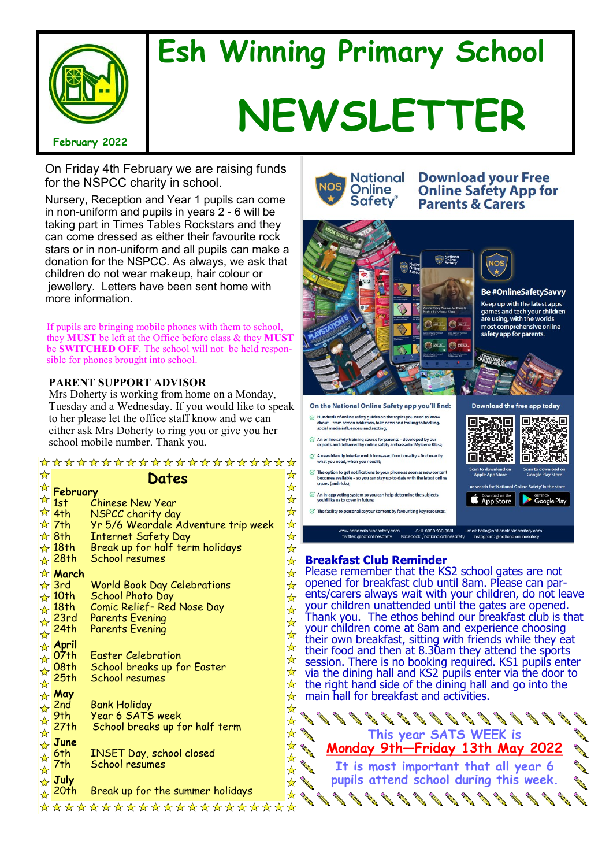

# **Esh Winning Primary School NEWSLETTER**

On Friday 4th February we are raising funds for the NSPCC charity in school.

Nursery, Reception and Year 1 pupils can come in non-uniform and pupils in years 2 - 6 will be taking part in Times Tables Rockstars and they can come dressed as either their favourite rock stars or in non-uniform and all pupils can make a donation for the NSPCC. As always, we ask that children do not wear makeup, hair colour or jewellery. Letters have been sent home with more information.

If pupils are bringing mobile phones with them to school, they **MUST** be left at the Office before class & they **MUST**  be **SWITCHED OFF**. The school will not be held responsible for phones brought into school.

## **PARENT SUPPORT ADVISOR**

Mrs Doherty is working from home on a Monday, Tuesday and a Wednesday. If you would like to speak to her please let the office staff know and we can either ask Mrs Doherty to ring you or give you her school mobile number. Thank you.

| *********************     |                           |                                                   |   |
|---------------------------|---------------------------|---------------------------------------------------|---|
| ☆                         |                           | Dates                                             | ☆ |
|                           | <b>February</b>           |                                                   | ☆ |
|                           | $\frac{1}{2}$ 1st         | Chinese New Year                                  | ☆ |
|                           | $\frac{1}{2}$ 4th         | NSPCC charity day                                 | ☆ |
|                           | $\frac{1}{2}$ 7th         | Yr 5/6 Weardale Adventure trip week               | ☆ |
|                           | $\frac{1}{2}$ 8th         | <b>Internet Safety Day</b>                        | ☆ |
|                           | $\frac{1}{N}$ 18th        | Break up for half term holidays                   | ☆ |
|                           | <u>⊹</u> 28†h             | <b>School resumes</b>                             | ☆ |
|                           | <b>x</b> March            |                                                   | ☆ |
|                           | $\frac{1}{N}$ 3rd         | <b>World Book Day Celebrations</b>                | ☆ |
|                           | $\frac{1}{2}$ 10th        | School Photo Day                                  | ☆ |
|                           | $\frac{1}{\sqrt{2}}$ 18th | Comic Relief- Red Nose Day                        | ☆ |
|                           | $\star$ 23rd              | <b>Parents Evening</b>                            | ☆ |
| $\frac{1}{\mathcal{N}}$   | 24th                      | <b>Parents Evening</b>                            | ☆ |
|                           | ☆ April                   |                                                   | ☆ |
|                           | <del>्∧</del> 07th        | <b>Easter Celebration</b>                         | ☆ |
| $\frac{1}{\mathcal{N}}$   | 08th                      | School breaks up for Easter<br>School resumes     | ☆ |
| $\frac{\lambda}{\lambda}$ | 25 <sub>th</sub>          |                                                   | ☆ |
|                           | <b>May</b>                |                                                   | ☆ |
|                           | $\star$ 2nd               | <b>Bank Holiday</b><br>Year 6 SATS week           | ☆ |
| ☆                         | 9th<br>27 <sub>th</sub>   | School breaks up for half term                    | ☆ |
| $\frac{1}{\mathcal{N}}$   |                           |                                                   | ☆ |
|                           | $\frac{1}{\sqrt{2}}$ June |                                                   | ☆ |
| $\frac{1}{\mathcal{N}}$   | 6th                       | <b>INSET Day, school closed</b><br>School resumes | ☆ |
| $\frac{1}{\mathcal{N}}$   | 7th                       |                                                   | ☆ |
|                           | <b>A</b> July             |                                                   | ☆ |
|                           | $\frac{1}{\sqrt{2}}$ 20th | Break up for the summer holidays                  | ☆ |
|                           |                           | ********************                              |   |



**Download your Free Online Safety App for Parents & Carers** 



**Breakfast Club Reminder**

 $\mathcal G$  The facility to personalise your content by favouriting key resource

Please remember that the KS2 school gates are not opened for breakfast club until 8am. Please can parents/carers always wait with your children, do not leave your children unattended until the gates are opened. Thank you. The ethos behind our breakfast club is that your children come at 8am and experience choosing their own breakfast, sitting with friends while they eat their food and then at 8.30am they attend the sports session. There is no booking required. KS1 pupils enter via the dining hall and KS2 pupils enter via the door to ≻  $\big\}$ the right hand side of the dining hall and go into the main hall for breakfast and activities.